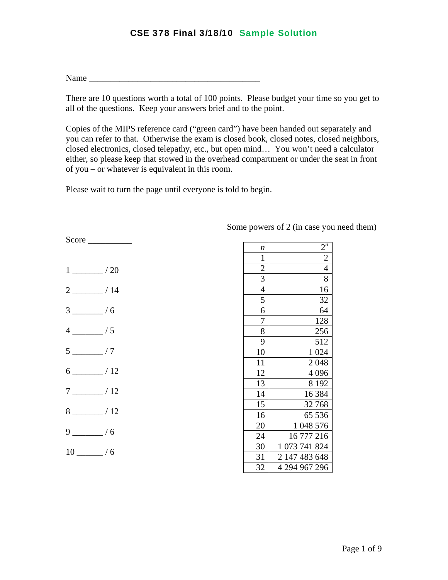$Name$ 

There are 10 questions worth a total of 100 points. Please budget your time so you get to all of the questions. Keep your answers brief and to the point.

Copies of the MIPS reference card ("green card") have been handed out separately and you can refer to that. Otherwise the exam is closed book, closed notes, closed neighbors, closed electronics, closed telepathy, etc., but open mind… You won't need a calculator either, so please keep that stowed in the overhead compartment or under the seat in front of you – or whatever is equivalent in this room.

Please wait to turn the page until everyone is told to begin.

| $1 \underline{\hspace{1cm}}$ / 20 |
|-----------------------------------|
| $2 \frac{1}{4}$                   |
| $3 \frac{ }{ }$ / 6               |
| $4 \underline{\hspace{1cm}}/5$    |
| $5 \underline{\hspace{1cm}}$ / 7  |
| $6 \_ 12$                         |
| $7 \underline{\hspace{1cm}}$ / 12 |
| $8 \frac{1}{2}$ / 12              |
| $9 \_ / 6$                        |
| $10 \_ / 6$                       |

Score \_\_\_\_\_\_\_\_\_\_

| n              | $2^n$                         |
|----------------|-------------------------------|
| $\mathbf{1}$   | $\overline{2}$                |
|                | $\overline{4}$                |
| $\frac{2}{3}$  | 8                             |
| $\overline{4}$ | 16                            |
| 5              | 32                            |
| 6              | 64                            |
| 7              | 128                           |
| 8              | 256                           |
| 9              | 512                           |
| 10             | 024<br>$\mathbf{1}$           |
| 11             | 2048                          |
| 12             | 4096                          |
| 13             | 8 1 9 2                       |
| 14             | 16 3 84                       |
| 15             | 32768                         |
| 16             | 65 536                        |
| 20             | $\mathbf{1}$<br>048 576       |
| 24             | 16 777 216                    |
| 30             | $\mathbf{1}$<br>073 741 824   |
| 31             | $\overline{2}$<br>147 483 648 |
| 32             | 4 294 967 296                 |

Some powers of 2 (in case you need them)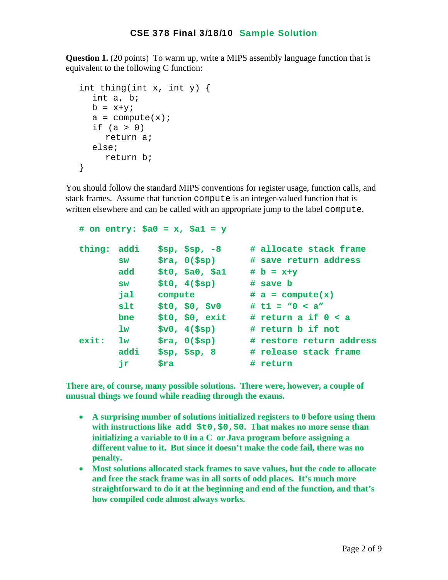**Question 1.** (20 points) To warm up, write a MIPS assembly language function that is equivalent to the following C function:

```
 int thing(int x, int y) { 
   int a, b; 
  b = x+y;a = compute(x);
  if (a > 0) return a; 
   else; 
      return b; 
 }
```
You should follow the standard MIPS conventions for register usage, function calls, and stack frames. Assume that function compute is an integer-valued function that is written elsewhere and can be called with an appropriate jump to the label compute.

```
 # on entry: $a0 = x, $a1 = y 
 thing: addi $sp, $sp, -8 # allocate stack frame 
       sw $ra, 0($sp) # save return address 
       add $t0, $a0, $a1 # b = x+y 
       sw $t0, 4($sp) # save b 
       jal compute # a = compute(x) 
       slt $t0, $0, $v0 # t1 = "0 < a" 
       bne $t0, $0, exit # return a if 0 < a 
       lw $v0, 4($sp) # return b if not 
 exit: lw $ra, 0($sp) # restore return address 
       addi $sp, $sp, 8 # release stack frame 
      ir $ra # return
```
**There are, of course, many possible solutions. There were, however, a couple of unusual things we found while reading through the exams.** 

- **A surprising number of solutions initialized registers to 0 before using them with instructions like add \$t0,\$0,\$0. That makes no more sense than initializing a variable to 0 in a C or Java program before assigning a different value to it. But since it doesn't make the code fail, there was no penalty.**
- **Most solutions allocated stack frames to save values, but the code to allocate and free the stack frame was in all sorts of odd places. It's much more straightforward to do it at the beginning and end of the function, and that's how compiled code almost always works.**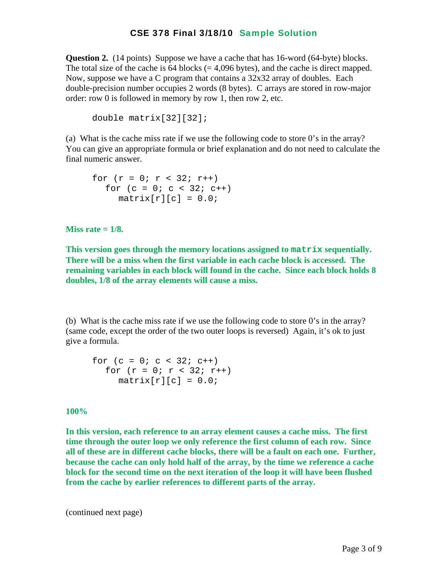**Question 2.** (14 points) Suppose we have a cache that has 16-word (64-byte) blocks. The total size of the cache is  $64$  blocks (= 4,096 bytes), and the cache is direct mapped. Now, suppose we have a C program that contains a 32x32 array of doubles. Each double-precision number occupies 2 words (8 bytes). C arrays are stored in row-major order: row 0 is followed in memory by row 1, then row 2, etc.

```
double matrix[32][32];
```
(a) What is the cache miss rate if we use the following code to store 0's in the array? You can give an appropriate formula or brief explanation and do not need to calculate the final numeric answer.

$$
\begin{array}{l}\n\text{for } (r = 0; r < 32; r++) \\
\text{for } (c = 0; c < 32; c++) \\
\text{matrix}[r][c] = 0.0;\n\end{array}
$$

**Miss rate = 1/8.** 

**This version goes through the memory locations assigned to matrix sequentially. There will be a miss when the first variable in each cache block is accessed. The remaining variables in each block will found in the cache. Since each block holds 8 doubles, 1/8 of the array elements will cause a miss.** 

(b) What is the cache miss rate if we use the following code to store  $0$ 's in the array? (same code, except the order of the two outer loops is reversed) Again, it's ok to just give a formula.

$$
\begin{array}{lcl}\n\text{for (c = 0; c < 32; c++)} \\
\text{for (r = 0; r < 32; r++)} \\
\text{matrix[r][c] = 0.0;\n\end{array}
$$

#### **100%**

**In this version, each reference to an array element causes a cache miss. The first time through the outer loop we only reference the first column of each row. Since all of these are in different cache blocks, there will be a fault on each one. Further, because the cache can only hold half of the array, by the time we reference a cache block for the second time on the next iteration of the loop it will have been flushed from the cache by earlier references to different parts of the array.**

(continued next page)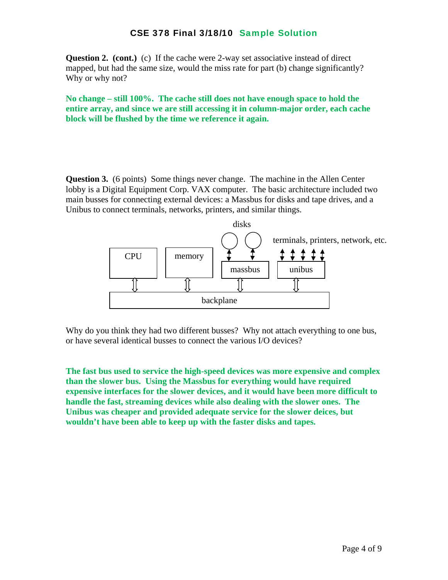**Question 2. (cont.)** (c) If the cache were 2-way set associative instead of direct mapped, but had the same size, would the miss rate for part (b) change significantly? Why or why not?

**No change – still 100%. The cache still does not have enough space to hold the entire array, and since we are still accessing it in column-major order, each cache block will be flushed by the time we reference it again.** 

**Question 3.** (6 points) Some things never change. The machine in the Allen Center lobby is a Digital Equipment Corp. VAX computer. The basic architecture included two main busses for connecting external devices: a Massbus for disks and tape drives, and a Unibus to connect terminals, networks, printers, and similar things.



Why do you think they had two different busses? Why not attach everything to one bus, or have several identical busses to connect the various I/O devices?

**The fast bus used to service the high-speed devices was more expensive and complex than the slower bus. Using the Massbus for everything would have required expensive interfaces for the slower devices, and it would have been more difficult to handle the fast, streaming devices while also dealing with the slower ones. The Unibus was cheaper and provided adequate service for the slower deices, but wouldn't have been able to keep up with the faster disks and tapes.**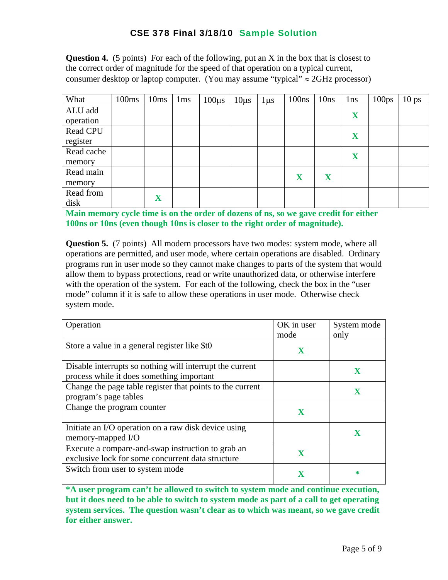**Question 4.** (5 points) For each of the following, put an X in the box that is closest to the correct order of magnitude for the speed of that operation on a typical current, consumer desktop or laptop computer. (You may assume "typical"  $\approx$  2GHz processor)

| What       | 100ms | 10ms        | 1 <sub>ms</sub> | $100\mu s$ | $10\mu s$ | $1 \mu s$ | 100ns | 10ns | 1 <sub>ns</sub> | 100 <sub>ps</sub> | 10 <sub>ps</sub> |
|------------|-------|-------------|-----------------|------------|-----------|-----------|-------|------|-----------------|-------------------|------------------|
| ALU add    |       |             |                 |            |           |           |       |      | X               |                   |                  |
| operation  |       |             |                 |            |           |           |       |      |                 |                   |                  |
| Read CPU   |       |             |                 |            |           |           |       |      | X               |                   |                  |
| register   |       |             |                 |            |           |           |       |      |                 |                   |                  |
| Read cache |       |             |                 |            |           |           |       |      | X               |                   |                  |
| memory     |       |             |                 |            |           |           |       |      |                 |                   |                  |
| Read main  |       |             |                 |            |           |           | X     | X    |                 |                   |                  |
| memory     |       |             |                 |            |           |           |       |      |                 |                   |                  |
| Read from  |       | $\mathbf X$ |                 |            |           |           |       |      |                 |                   |                  |
| disk       |       |             |                 |            |           |           |       |      |                 |                   |                  |

**Main memory cycle time is on the order of dozens of ns, so we gave credit for either 100ns or 10ns (even though 10ns is closer to the right order of magnitude).** 

**Question 5.** (7 points) All modern processors have two modes: system mode, where all operations are permitted, and user mode, where certain operations are disabled. Ordinary programs run in user mode so they cannot make changes to parts of the system that would allow them to bypass protections, read or write unauthorized data, or otherwise interfere with the operation of the system. For each of the following, check the box in the "user" mode" column if it is safe to allow these operations in user mode. Otherwise check system mode.

| Operation                                                                                              | OK in user<br>mode | System mode<br>only |
|--------------------------------------------------------------------------------------------------------|--------------------|---------------------|
| Store a value in a general register like \$t0                                                          | $\mathbf X$        |                     |
| Disable interrupts so nothing will interrupt the current<br>process while it does something important  |                    | $\mathbf x$         |
| Change the page table register that points to the current<br>program's page tables                     |                    |                     |
| Change the program counter                                                                             | $\mathbf X$        |                     |
| Initiate an I/O operation on a raw disk device using<br>memory-mapped I/O                              |                    | $\mathbf x$         |
| Execute a compare-and-swap instruction to grab an<br>exclusive lock for some concurrent data structure |                    |                     |
| Switch from user to system mode                                                                        |                    | ∗                   |

**\*A user program can't be allowed to switch to system mode and continue execution, but it does need to be able to switch to system mode as part of a call to get operating system services. The question wasn't clear as to which was meant, so we gave credit for either answer.**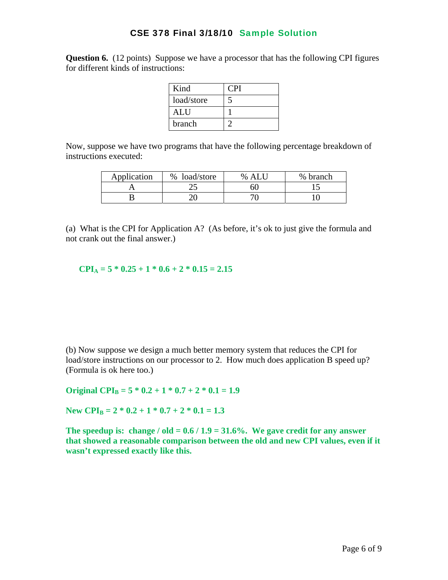**Question 6.** (12 points) Suppose we have a processor that has the following CPI figures for different kinds of instructions:

| Kind       | CPI |
|------------|-----|
| load/store |     |
| ALU        |     |
| branch     |     |

Now, suppose we have two programs that have the following percentage breakdown of instructions executed:

| Application | load/store<br>$\%$ | % ALU | % branch |
|-------------|--------------------|-------|----------|
|             | رے                 | 60    |          |
|             |                    |       |          |

(a) What is the CPI for Application A? (As before, it's ok to just give the formula and not crank out the final answer.)

 $CPI_A = 5 * 0.25 + 1 * 0.6 + 2 * 0.15 = 2.15$ 

(b) Now suppose we design a much better memory system that reduces the CPI for load/store instructions on our processor to 2. How much does application B speed up? (Formula is ok here too.)

Original CPI<sub>B</sub> =  $5 * 0.2 + 1 * 0.7 + 2 * 0.1 = 1.9$ 

New CPI<sub>B</sub> =  $2 * 0.2 + 1 * 0.7 + 2 * 0.1 = 1.3$ 

The speedup is: change /  $old = 0.6 / 1.9 = 31.6%$ . We gave credit for any answer **that showed a reasonable comparison between the old and new CPI values, even if it wasn't expressed exactly like this.**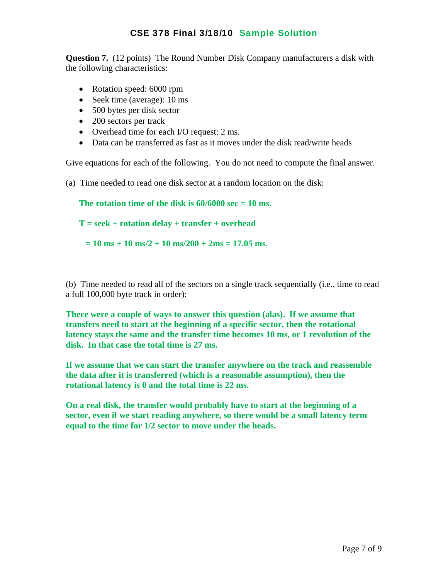**Question 7.** (12 points) The Round Number Disk Company manufacturers a disk with the following characteristics:

- Rotation speed: 6000 rpm
- Seek time (average): 10 ms
- 500 bytes per disk sector
- 200 sectors per track
- Overhead time for each I/O request: 2 ms.
- Data can be transferred as fast as it moves under the disk read/write heads

Give equations for each of the following. You do not need to compute the final answer.

(a) Time needed to read one disk sector at a random location on the disk:

```
The rotation time of the disk is 60/6000 sec = 10 ms.
```

```
T = seek + rotation delay + transfer + overhead
```
 $= 10$  ms + 10 ms/2 + 10 ms/200 + 2ms = 17.05 ms.

(b) Time needed to read all of the sectors on a single track sequentially (i.e., time to read a full 100,000 byte track in order):

**There were a couple of ways to answer this question (alas). If we assume that transfers need to start at the beginning of a specific sector, then the rotational latency stays the same and the transfer time becomes 10 ms, or 1 revolution of the disk. In that case the total time is 27 ms.** 

**If we assume that we can start the transfer anywhere on the track and reassemble the data after it is transferred (which is a reasonable assumption), then the rotational latency is 0 and the total time is 22 ms.** 

**On a real disk, the transfer would probably have to start at the beginning of a sector, even if we start reading anywhere, so there would be a small latency term equal to the time for 1/2 sector to move under the heads.**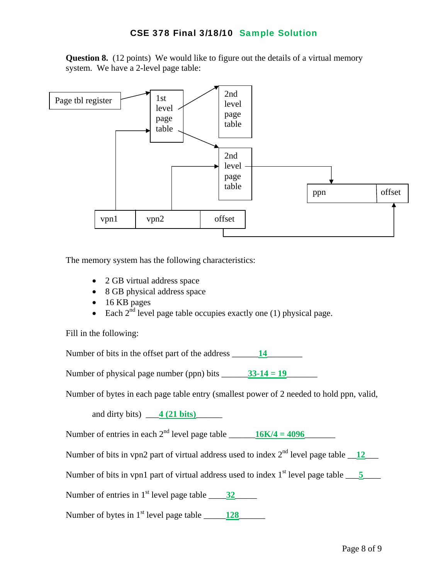**Question 8.** (12 points) We would like to figure out the details of a virtual memory system. We have a 2-level page table:



The memory system has the following characteristics:

- 2 GB virtual address space
- 8 GB physical address space
- 16 KB pages
- Each  $2^{nd}$  level page table occupies exactly one (1) physical page.

Fill in the following:

Number of bits in the offset part of the address \_\_\_\_\_\_\_\_\_\_\_\_\_\_\_\_\_\_\_\_\_\_\_\_\_\_\_\_\_\_\_\_\_

Number of physical page number (ppn) bits  $\frac{33-14}{2} = 19$ 

Number of bytes in each page table entry (smallest power of 2 needed to hold ppn, valid,

and dirty bits) <u>4 (21 bits)</u>

Number of entries in each  $2^{nd}$  level page table  $16K/4 = 4096$ 

Number of bits in vpn2 part of virtual address used to index  $2<sup>nd</sup>$  level page table  $\overline{12}$ 

Number of bits in vpn1 part of virtual address used to index  $1<sup>st</sup>$  level page table  $\underline{\hspace{1cm}}$ 

Number of entries in  $1<sup>st</sup>$  level page table  $\qquad \qquad$  32

Number of bytes in  $1<sup>st</sup>$  level page table  $\_\_\_\_\_$ 128